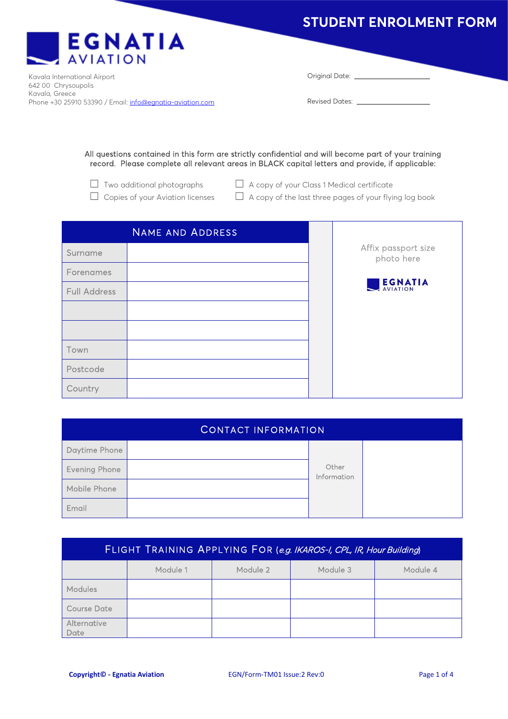## **STUDENT ENROLMENT FORM**



Kavala International Airport 642 00 Chrysoupolis Kavala, Greece Phone +30 25910 53390 / Email: [info@egnatia-aviation.com](mailto:info@egnatia-aviation.com) Original Date:

Revised Dates:

## All questions contained in this form are strictly confidential and will become part of your training record. Please complete all relevant areas in BLACK capital letters and provide, if applicable:

- ☐ Two additional photographs ☐ A copy of your Class 1 Medical certificate
	-
- ☐ Copies of your Aviation licenses ☐ A copy of the last three pages of your flying log book

|                     | <b>NAME AND ADDRESS</b> |                                   |
|---------------------|-------------------------|-----------------------------------|
| Surname             |                         | Affix passport size<br>photo here |
| Forenames           |                         |                                   |
| <b>Full Address</b> |                         | <b>EGNATIA</b>                    |
|                     |                         |                                   |
|                     |                         |                                   |
| Town                |                         |                                   |
| Postcode            |                         |                                   |
| Country             |                         |                                   |

| <b>CONTACT INFORMATION</b> |  |                      |  |  |  |  |  |
|----------------------------|--|----------------------|--|--|--|--|--|
| Daytime Phone              |  |                      |  |  |  |  |  |
| Evening Phone              |  | Other<br>Information |  |  |  |  |  |
| Mobile Phone               |  |                      |  |  |  |  |  |
| Email                      |  |                      |  |  |  |  |  |

| <b>FLIGHT TRAINING APPLYING FOR (e.g. IKAROS-I, CPL, IR, Hour Building)</b> |          |          |          |          |  |  |  |  |
|-----------------------------------------------------------------------------|----------|----------|----------|----------|--|--|--|--|
|                                                                             | Module 1 | Module 2 | Module 3 | Module 4 |  |  |  |  |
| <b>Modules</b>                                                              |          |          |          |          |  |  |  |  |
| <b>Course Date</b>                                                          |          |          |          |          |  |  |  |  |
| Alternative<br>Date                                                         |          |          |          |          |  |  |  |  |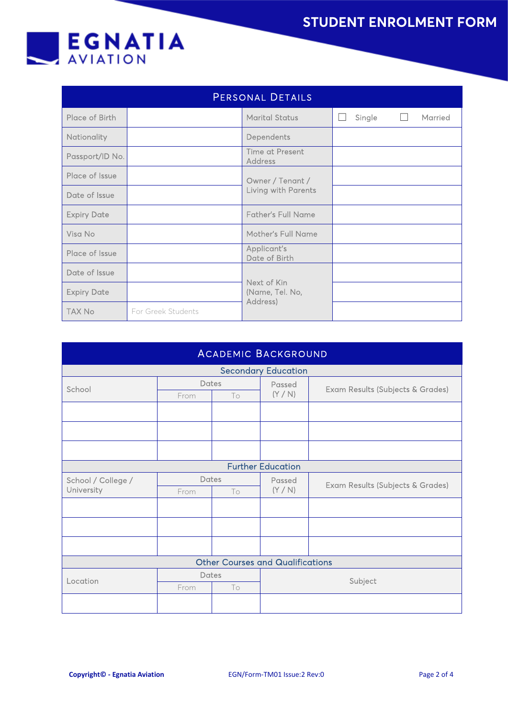

| PERSONAL DETAILS   |                    |                                          |                         |  |  |  |  |  |
|--------------------|--------------------|------------------------------------------|-------------------------|--|--|--|--|--|
| Place of Birth     |                    | <b>Marital Status</b>                    | Single<br>Married<br>×. |  |  |  |  |  |
| Nationality        |                    | Dependents                               |                         |  |  |  |  |  |
| Passport/ID No.    |                    | <b>Time at Present</b><br><b>Address</b> |                         |  |  |  |  |  |
| Place of Issue     |                    | Owner / Tenant /                         |                         |  |  |  |  |  |
| Date of Issue      |                    | Living with Parents                      |                         |  |  |  |  |  |
| <b>Expiry Date</b> |                    | <b>Father's Full Name</b>                |                         |  |  |  |  |  |
| Visa No            |                    | Mother's Full Name                       |                         |  |  |  |  |  |
| Place of Issue     |                    | Applicant's<br>Date of Birth             |                         |  |  |  |  |  |
| Date of Issue      |                    | Next of Kin                              |                         |  |  |  |  |  |
| <b>Expiry Date</b> |                    | (Name, Tel. No,<br>Address)              |                         |  |  |  |  |  |
| <b>TAX No</b>      | For Greek Students |                                          |                         |  |  |  |  |  |

| <b>ACADEMIC BACKGROUND</b>              |              |       |                          |                                  |  |  |  |  |
|-----------------------------------------|--------------|-------|--------------------------|----------------------------------|--|--|--|--|
| <b>Secondary Education</b>              |              |       |                          |                                  |  |  |  |  |
| School                                  | <b>Dates</b> |       | Passed                   | Exam Results (Subjects & Grades) |  |  |  |  |
|                                         | From         | To    | (Y / N)                  |                                  |  |  |  |  |
|                                         |              |       |                          |                                  |  |  |  |  |
|                                         |              |       |                          |                                  |  |  |  |  |
|                                         |              |       |                          |                                  |  |  |  |  |
|                                         |              |       | <b>Further Education</b> |                                  |  |  |  |  |
| School / College /                      | <b>Dates</b> |       | Passed                   | Exam Results (Subjects & Grades) |  |  |  |  |
| University                              | From         | To    | (Y / N)                  |                                  |  |  |  |  |
|                                         |              |       |                          |                                  |  |  |  |  |
|                                         |              |       |                          |                                  |  |  |  |  |
|                                         |              |       |                          |                                  |  |  |  |  |
| <b>Other Courses and Qualifications</b> |              |       |                          |                                  |  |  |  |  |
| Location                                |              | Dates | Subject                  |                                  |  |  |  |  |
|                                         | From         | To    |                          |                                  |  |  |  |  |
|                                         |              |       |                          |                                  |  |  |  |  |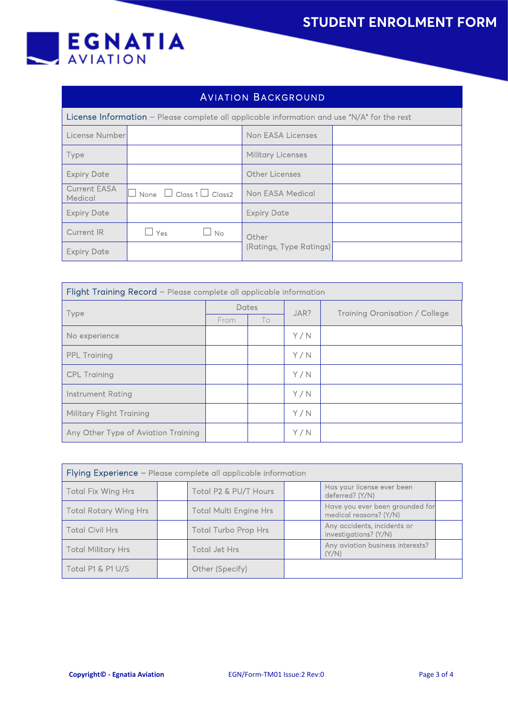

## **STUDENT ENROLMENT FORM**

| <b>AVIATION BACKGROUND</b>     |                                                                                                 |                          |  |  |  |  |  |
|--------------------------------|-------------------------------------------------------------------------------------------------|--------------------------|--|--|--|--|--|
|                                | License Information – Please complete all applicable information and use " $N/A$ " for the rest |                          |  |  |  |  |  |
| License Number                 |                                                                                                 | Non EASA Licenses        |  |  |  |  |  |
| Type                           |                                                                                                 | <b>Military Licenses</b> |  |  |  |  |  |
| <b>Expiry Date</b>             |                                                                                                 | <b>Other Licenses</b>    |  |  |  |  |  |
| <b>Current EASA</b><br>Medical | $\Box$ Class 1 $\Box$ Class2<br>None                                                            | Non EASA Medical         |  |  |  |  |  |
| <b>Expiry Date</b>             |                                                                                                 | <b>Expiry Date</b>       |  |  |  |  |  |
| <b>Current IR</b>              | ⊿ Yes<br>No.                                                                                    | Other                    |  |  |  |  |  |
| <b>Expiry Date</b>             |                                                                                                 | (Ratings, Type Ratings)  |  |  |  |  |  |

| Flight Training Record - Please complete all applicable information |       |    |      |                                       |  |  |
|---------------------------------------------------------------------|-------|----|------|---------------------------------------|--|--|
| Type                                                                | Dates |    | JAR? | <b>Training Oranisation / College</b> |  |  |
|                                                                     | From  | To |      |                                       |  |  |
| No experience                                                       |       |    | Y/N  |                                       |  |  |
| <b>PPL Training</b>                                                 |       |    | Y/N  |                                       |  |  |
| <b>CPL Training</b>                                                 |       |    | Y/N  |                                       |  |  |
| Instrument Rating                                                   |       |    | Y/N  |                                       |  |  |
| <b>Military Flight Training</b>                                     |       |    | Y/N  |                                       |  |  |
| Any Other Type of Aviation Training                                 |       |    | Y/N  |                                       |  |  |

| Flying Experience - Please complete all applicable information |  |                               |  |                                                           |  |  |  |
|----------------------------------------------------------------|--|-------------------------------|--|-----------------------------------------------------------|--|--|--|
| <b>Total Fix Wing Hrs</b>                                      |  | Total P2 & PU/T Hours         |  | Has your license ever been<br>deferred? (Y/N)             |  |  |  |
| <b>Total Rotary Wing Hrs</b>                                   |  | <b>Total Multi Engine Hrs</b> |  | Have you ever been grounded for<br>medical reasons? (Y/N) |  |  |  |
| <b>Total Civil Hrs</b>                                         |  | <b>Total Turbo Prop Hrs</b>   |  | Any accidents, incidents or<br>investigations? (Y/N)      |  |  |  |
| <b>Total Military Hrs</b>                                      |  | <b>Total Jet Hrs</b>          |  | Any aviation business interests?<br>(Y/N)                 |  |  |  |
| Total P1 & P1 U/S                                              |  | Other (Specify)               |  |                                                           |  |  |  |